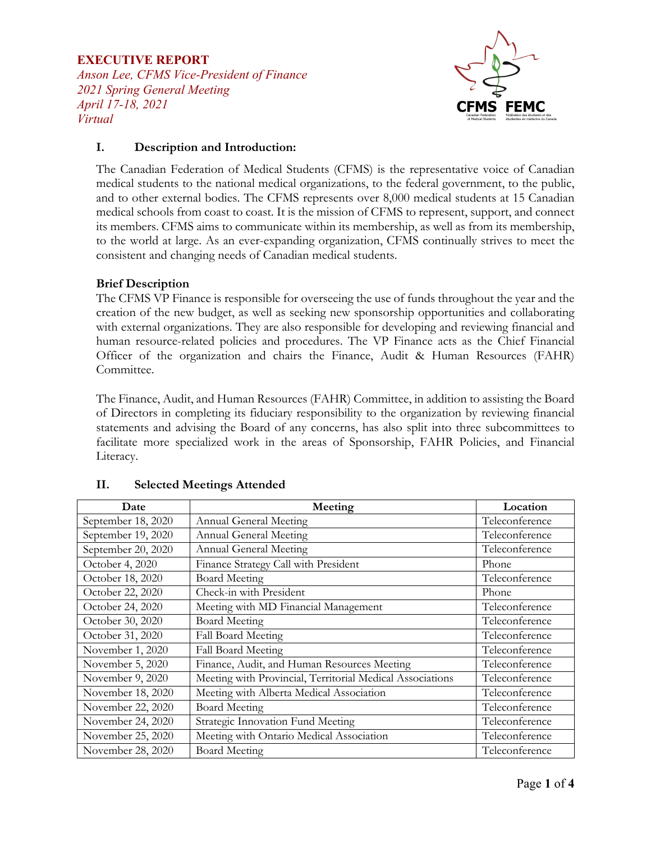### **EXECUTIVE REPORT**

*Anson Lee, CFMS Vice-President of Finance 2021 Spring General Meeting April 17-18, 2021 Virtual*



### **I. Description and Introduction:**

The Canadian Federation of Medical Students (CFMS) is the representative voice of Canadian medical students to the national medical organizations, to the federal government, to the public, and to other external bodies. The CFMS represents over 8,000 medical students at 15 Canadian medical schools from coast to coast. It is the mission of CFMS to represent, support, and connect its members. CFMS aims to communicate within its membership, as well as from its membership, to the world at large. As an ever-expanding organization, CFMS continually strives to meet the consistent and changing needs of Canadian medical students.

### **Brief Description**

The CFMS VP Finance is responsible for overseeing the use of funds throughout the year and the creation of the new budget, as well as seeking new sponsorship opportunities and collaborating with external organizations. They are also responsible for developing and reviewing financial and human resource-related policies and procedures. The VP Finance acts as the Chief Financial Officer of the organization and chairs the Finance, Audit & Human Resources (FAHR) Committee.

The Finance, Audit, and Human Resources (FAHR) Committee, in addition to assisting the Board of Directors in completing its fiduciary responsibility to the organization by reviewing financial statements and advising the Board of any concerns, has also split into three subcommittees to facilitate more specialized work in the areas of Sponsorship, FAHR Policies, and Financial Literacy.

| Date               | Meeting                                                   | Location       |
|--------------------|-----------------------------------------------------------|----------------|
| September 18, 2020 | Annual General Meeting                                    | Teleconference |
| September 19, 2020 | Annual General Meeting                                    | Teleconference |
| September 20, 2020 | Annual General Meeting                                    | Teleconference |
| October 4, 2020    | Finance Strategy Call with President                      | Phone          |
| October 18, 2020   | <b>Board Meeting</b>                                      | Teleconference |
| October 22, 2020   | Check-in with President                                   | Phone          |
| October 24, 2020   | Meeting with MD Financial Management                      | Teleconference |
| October 30, 2020   | <b>Board Meeting</b>                                      | Teleconference |
| October 31, 2020   | Fall Board Meeting                                        | Teleconference |
| November 1, 2020   | Fall Board Meeting                                        | Teleconference |
| November 5, 2020   | Finance, Audit, and Human Resources Meeting               | Teleconference |
| November 9, 2020   | Meeting with Provincial, Territorial Medical Associations | Teleconference |
| November 18, 2020  | Meeting with Alberta Medical Association                  | Teleconference |
| November 22, 2020  | <b>Board Meeting</b>                                      | Teleconference |
| November 24, 2020  | Strategic Innovation Fund Meeting                         | Teleconference |
| November 25, 2020  | Meeting with Ontario Medical Association                  | Teleconference |
| November 28, 2020  | <b>Board Meeting</b>                                      | Teleconference |

## **II. Selected Meetings Attended**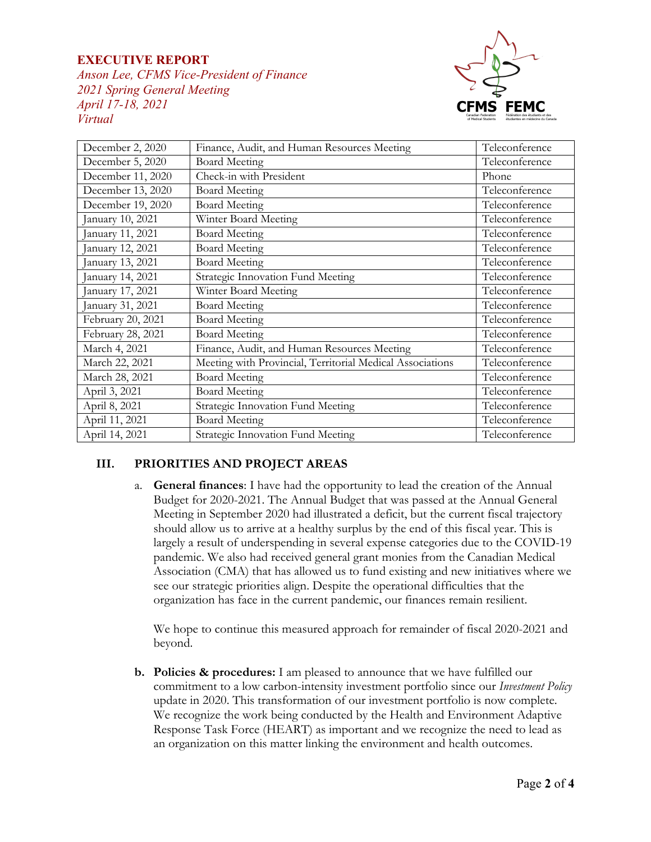## **EXECUTIVE REPORT**

*Anson Lee, CFMS Vice-President of Finance 2021 Spring General Meeting April 17-18, 2021 Virtual*



| December 2, 2020  | Finance, Audit, and Human Resources Meeting               | Teleconference |
|-------------------|-----------------------------------------------------------|----------------|
| December 5, 2020  | <b>Board Meeting</b>                                      | Teleconference |
| December 11, 2020 | Check-in with President                                   | Phone          |
| December 13, 2020 | <b>Board Meeting</b>                                      | Teleconference |
| December 19, 2020 | <b>Board Meeting</b>                                      | Teleconference |
| January 10, 2021  | Winter Board Meeting                                      | Teleconference |
| January 11, 2021  | <b>Board Meeting</b>                                      | Teleconference |
| January 12, 2021  | <b>Board Meeting</b>                                      | Teleconference |
| January 13, 2021  | <b>Board Meeting</b>                                      | Teleconference |
| anuary 14, 2021   | Strategic Innovation Fund Meeting                         | Teleconference |
| January 17, 2021  | Winter Board Meeting                                      | Teleconference |
| January 31, 2021  | <b>Board Meeting</b>                                      | Teleconference |
| February 20, 2021 | <b>Board Meeting</b>                                      | Teleconference |
| February 28, 2021 | <b>Board Meeting</b>                                      | Teleconference |
| March 4, 2021     | Finance, Audit, and Human Resources Meeting               | Teleconference |
| March 22, 2021    | Meeting with Provincial, Territorial Medical Associations | Teleconference |
| March 28, 2021    | <b>Board Meeting</b>                                      | Teleconference |
| April 3, 2021     | <b>Board Meeting</b>                                      | Teleconference |
| April 8, 2021     | Strategic Innovation Fund Meeting                         | Teleconference |
| April 11, 2021    | <b>Board Meeting</b>                                      | Teleconference |
| April 14, 2021    | Strategic Innovation Fund Meeting                         | Teleconference |

## **III. PRIORITIES AND PROJECT AREAS**

a. **General finances**: I have had the opportunity to lead the creation of the Annual Budget for 2020-2021. The Annual Budget that was passed at the Annual General Meeting in September 2020 had illustrated a deficit, but the current fiscal trajectory should allow us to arrive at a healthy surplus by the end of this fiscal year. This is largely a result of underspending in several expense categories due to the COVID-19 pandemic. We also had received general grant monies from the Canadian Medical Association (CMA) that has allowed us to fund existing and new initiatives where we see our strategic priorities align. Despite the operational difficulties that the organization has face in the current pandemic, our finances remain resilient.

We hope to continue this measured approach for remainder of fiscal 2020-2021 and beyond.

**b. Policies & procedures:** I am pleased to announce that we have fulfilled our commitment to a low carbon-intensity investment portfolio since our *Investment Policy* update in 2020. This transformation of our investment portfolio is now complete. We recognize the work being conducted by the Health and Environment Adaptive Response Task Force (HEART) as important and we recognize the need to lead as an organization on this matter linking the environment and health outcomes.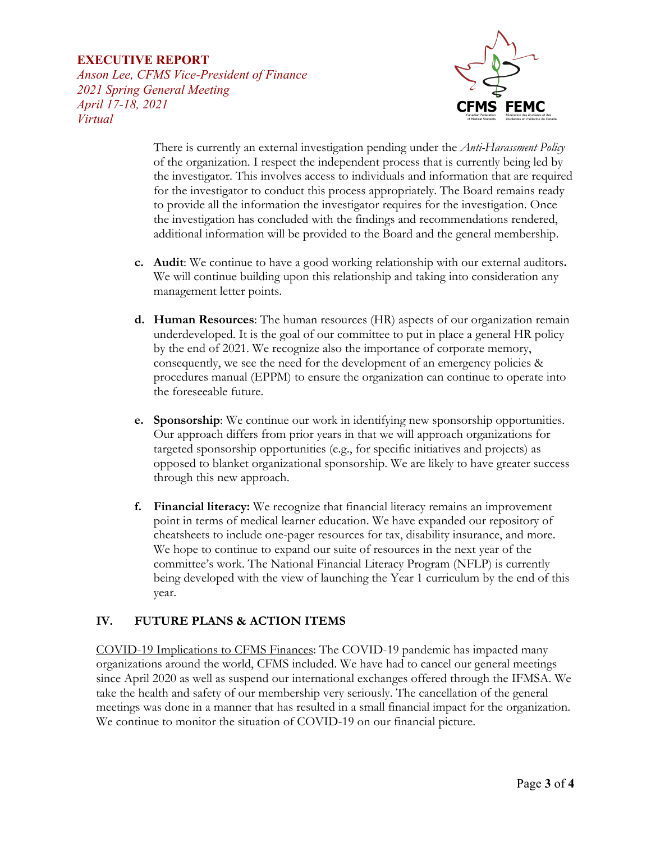### **EXECUTIVE REPORT**

*Anson Lee, CFMS Vice-President of Finance 2021 Spring General Meeting April 17-18, 2021 Virtual*



There is currently an external investigation pending under the *Anti-Harassment Policy*  of the organization. I respect the independent process that is currently being led by the investigator. This involves access to individuals and information that are required for the investigator to conduct this process appropriately. The Board remains ready to provide all the information the investigator requires for the investigation. Once the investigation has concluded with the findings and recommendations rendered, additional information will be provided to the Board and the general membership.

- **c. Audit**: We continue to have a good working relationship with our external auditors**.**  We will continue building upon this relationship and taking into consideration any management letter points.
- **d. Human Resources**: The human resources (HR) aspects of our organization remain underdeveloped. It is the goal of our committee to put in place a general HR policy by the end of 2021. We recognize also the importance of corporate memory, consequently, we see the need for the development of an emergency policies & procedures manual (EPPM) to ensure the organization can continue to operate into the foreseeable future.
- **e. Sponsorship**: We continue our work in identifying new sponsorship opportunities. Our approach differs from prior years in that we will approach organizations for targeted sponsorship opportunities (e.g., for specific initiatives and projects) as opposed to blanket organizational sponsorship. We are likely to have greater success through this new approach.
- **f. Financial literacy:** We recognize that financial literacy remains an improvement point in terms of medical learner education. We have expanded our repository of cheatsheets to include one-pager resources for tax, disability insurance, and more. We hope to continue to expand our suite of resources in the next year of the committee's work. The National Financial Literacy Program (NFLP) is currently being developed with the view of launching the Year 1 curriculum by the end of this year.

## **IV. FUTURE PLANS & ACTION ITEMS**

COVID-19 Implications to CFMS Finances: The COVID-19 pandemic has impacted many organizations around the world, CFMS included. We have had to cancel our general meetings since April 2020 as well as suspend our international exchanges offered through the IFMSA. We take the health and safety of our membership very seriously. The cancellation of the general meetings was done in a manner that has resulted in a small financial impact for the organization. We continue to monitor the situation of COVID-19 on our financial picture.